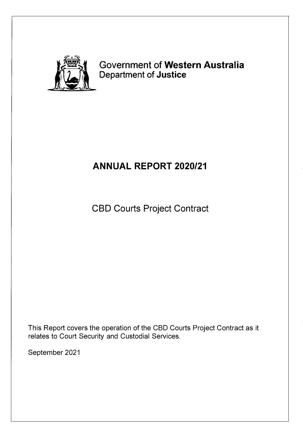

## Government of **Western Australia**  Department of **Justice**

# **ANNUAL REPORT 2020/21**

CBD Courts Project Contract

This Report covers the operation of the CBD Courts Project Contract as it relates to Court Security and Custodial Services.

September 2021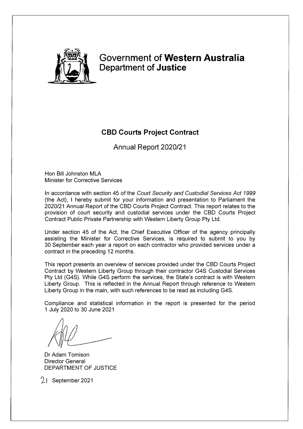

## **Government of Western Australia Department of Justice**

## **CBD Courts Project Contract**

Annual Report 2020/21

Hon Bill Johnston MLA Minister for Corrective Services

In accordance with section 45 of the *Court Security and Custodial Services Act 1999*  (the Act), I hereby submit for your information and presentation to Parliament the 2020/21 Annual Report of the CBD Courts Project Contract. This report relates to the provision of court security and custodial services under the CBD Courts Project Contract Public Private Partnership with Western Liberty Group Pty Ltd.

Under section 45 of the Act, the Chief Executive Officer of the agency principally assisting the Minister for Corrective Services, is required to submit to you by 30 September each year a report on each contractor who provided services under a contract in the preceding 12 months.

This report presents an overview of services provided under the CBD Courts Project Contract by Western Liberty Group through their contractor G4S Custodial Services Pty Ltd (G4S). While G4S perform the services, the State's contract is with Western Liberty Group. This is reflected in the Annual Report through reference to Western Liberty Group in the main, with such references to be read as including G4S.

Compliance and statistical information in the report is presented for the period 1 July 2020 to 30 June 2021

Dr Adam Tomison Director General DEPARTMENT OF JUSTICE

21 September 2021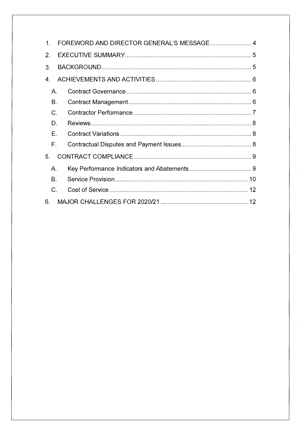| 1.             | FOREWORD AND DIRECTOR GENERAL'S MESSAGE 4 |  |  |  |
|----------------|-------------------------------------------|--|--|--|
| 2 <sub>1</sub> |                                           |  |  |  |
| 3.             |                                           |  |  |  |
| 4.             |                                           |  |  |  |
| Α.             |                                           |  |  |  |
| <b>B.</b>      |                                           |  |  |  |
| C.             |                                           |  |  |  |
| D.             |                                           |  |  |  |
| E.             |                                           |  |  |  |
| F.             |                                           |  |  |  |
| 5.             |                                           |  |  |  |
| Α.             |                                           |  |  |  |
| B.             |                                           |  |  |  |
| C.             |                                           |  |  |  |
| 6.             |                                           |  |  |  |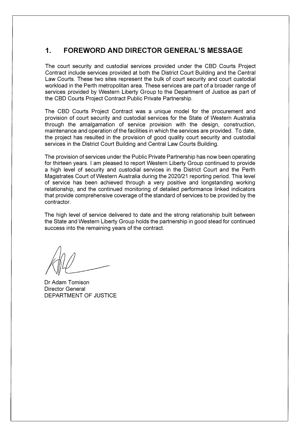### **1. FOREWORD AND DIRECTOR GENERAL'S MESSAGE**

The court security and custodial services provided under the CBD Courts Project Contract include services provided at both the District Court Building and the Central Law Courts. These two sites represent the bulk of court security and court custodial workload in the Perth metropolitan area. These services are part of a broader range of services provided by Western Liberty Group to the Department of Justice as part of the CBD Courts Project Contract Public Private Partnership.

The CBD Courts Project Contract was a unique model for the procurement and provision of court security and custodial services for the State of Western Australia through the amalgamation of service provision with the design, construction, maintenance and operation of the facilities in which the services are provided. To date, the project has resulted in the provision of good quality court security and custodial services in the District Court Building and Central Law Courts Building.

The provision of services under the Public Private Partnership has now been operating for thirteen years. I am pleased to report Western Liberty Group continued to provide a high level of security and custodial services in the District Court and the Perth Magistrates Court of Western Australia during the 2020/21 reporting period. This level of service has been achieved through a very positive and longstanding working relationship, and the continued monitoring of detailed performance linked indicators that provide comprehensive coverage of the standard of services to be provided by the contractor.

The high level of service delivered to date and the strong relationship built between the State and Western Liberty Group holds the partnership in good stead for continued success into the remaining years of the contract.

Dr Adam Tomison Director General DEPARTMENT OF JUSTICE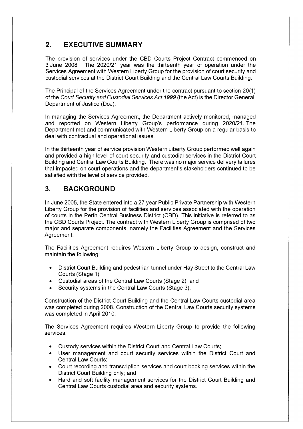## **2. EXECUTIVE SUMMARY**

The provision of services under the CBD Courts Project Contract commenced on 3 June 2008. The 2020/21 year was the thirteenth year of operation under the Services Agreement with Western Liberty Group for the provision of court security and custodial services at the District Court Building and the Central Law Courts Building.

The Principal of the Services Agreement under the contract pursuant to section 20(1) of the *Court Security and Custodial Services Act 1999* (the Act) is the Director General, Department of Justice (DoJ).

In managing the Services Agreement, the Department actively monitored, managed and reported on Western Liberty Group's performance during 2020/21. The Department met and communicated with Western Liberty Group on a regular basis to deal with contractual and operational issues.

In the thirteenth year of service provision Western Liberty Group performed well again and provided a high level of court security and custodial services in the District Court Building and Central Law Courts Building. There was no major service delivery failures that impacted on court operations and the department's stakeholders continued to be satisfied with the level of service provided.

## **3. BACKGROUND**

In June 2005, the State entered into a 27 year Public Private Partnership with Western Liberty Group for the provision of facilities and services associated with the operation of courts in the Perth Central Business District (CBD). This initiative is referred to as the CBD Courts Project. The contract with Western Liberty Group is comprised of two major and separate components, namely the Facilities Agreement and the Services Agreement.

The Facilities Agreement requires Western Liberty Group to design, construct and maintain the following:

- District Court Building and pedestrian tunnel under Hay Street to the Central Law Courts (Stage 1);
- Custodial areas of the Central Law Courts (Stage 2); and
- Security systems in the Central Law Courts (Stage 3).

Construction of the District Court Building and the Central Law Courts custodial area was completed during 2008. Construction of the Central Law Courts security systems was completed in April 2010.

The Services Agreement requires Western Liberty Group to provide the following services:

- Custody services within the District Court and Central Law Courts;
- User management and court security services within the District Court and Central Law Courts;
- Court recording and transcription services and court booking services within the District Court Building only; and
- Hard and soft facility management services for the District Court Building and Central Law Courts custodial area and security systems.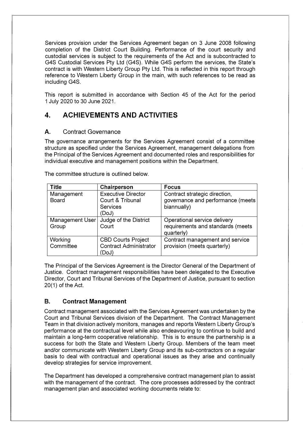Services provision under the Services Agreement began on 3 June 2008 following completion of the District Court Building. Performance of the court security and custodial services is subject to the requirements of the Act and is subcontracted to G4S Custodial Services Pty Ltd (G4S). While G4S perform the services, the State's contract is with Western Liberty Group Pty Ltd. This is reflected in this report through reference to Western Liberty Group in the main, with such references to be read as including G4S.

This report is submitted in accordance with Section 45 of the Act for the period 1 July 2020 to 30 June 2021.

## **4. ACHIEVEMENTS AND ACTIVITIES**

#### A. Contract Governance

The governance arrangements for the Services Agreement consist of a committee structure as specified under the Services Agreement, management delegations from the Principal of the Services Agreement and documented roles and responsibilities for individual executive and management positions within the Department.

The committee structure is outlined below.

| <b>Title</b>           | Chairperson                   | <b>Focus</b>                      |
|------------------------|-------------------------------|-----------------------------------|
| Management             | <b>Executive Director</b>     | Contract strategic direction,     |
| <b>Board</b>           | Court & Tribunal              | governance and performance (meets |
|                        | <b>Services</b>               | biannually)                       |
|                        | (DoJ)                         |                                   |
| <b>Management User</b> | Judge of the District         | Operational service delivery      |
| Group                  | Court                         | requirements and standards (meets |
|                        |                               | quarterly)                        |
| Working                | <b>CBD Courts Project</b>     | Contract management and service   |
| Committee              | <b>Contract Administrator</b> | provision (meets quarterly)       |
|                        | (DoJ)                         |                                   |

The Principal of the Services Agreement is the Director General of the Department of Justice. Contract management responsibilities have been delegated to the Executive Director, Court and Tribunal Services of the Department of Justice, pursuant to section  $20(1)$  of the Act.

#### **B. Contract Management**

Contract management associated with the Services Agreement was undertaken by the Court and Tribunal Services division of the Department. The Contract Management Team in that division actively monitors, manages and reports Western Liberty Group's performance at the contractual level while also endeavouring to continue to build and maintain a long-term cooperative relationship. This is to ensure the partnership is a success for both the State and Western Liberty Group. Members of the team meet and/or communicate with Western Liberty Group and its sub-contractors on a regular basis to deal with contractual and operational issues as they arise and continually develop strategies for service improvement.

The Department has developed a comprehensive contract management plan to assist with the management of the contract. The core processes addressed by the contract management plan and associated working documents relate to: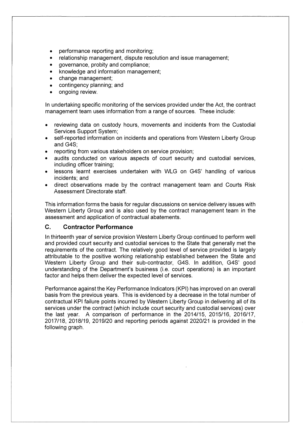- performance reporting and monitoring;
- relationship management, dispute resolution and issue management;
- governance, probity and compliance;
- knowledge and information management;
- change management;
- contingency planning; and
- ongoing review.

In undertaking specific monitoring of the services provided under the Act, the contract management team uses information from a range of sources. These include:

- reviewing data on custody hours, movements and incidents from the Custodial Services Support System;
- self-reported information on incidents and operations from Western Liberty Group and G4S;
- reporting from various stakeholders on service provision;
- audits conducted on various aspects of court security and custodial services, including officer training;
- lessons learnt exercises undertaken with WLG on G4S' handling of various incidents; and
- direct observations made by the contract management team and Courts Risk Assessment Directorate staff.

This information forms the basis for regular discussions on service delivery issues with Western Liberty Group and is also used by the contract management team in the assessment and application of contractual abatements.

#### **C. Contractor Performance**

In thirteenth year of service provision Western Liberty Group continued to perform well and provided court security and custodial services to the State that generally met the requirements of the contract. The relatively good level of service provided is largely attributable to the positive working relationship established between the State and Western Liberty Group and their sub-contractor, G4S. In addition, G4S' good understanding of the Department's business (i.e. court operations) is an important factor and helps them deliver the expected level of services.

Performance against the Key Performance Indicators (KPI) has improved on an overall basis from the previous years. This is evidenced by a decrease in the total number of contractual KPI failure points incurred by Western Liberty Group in delivering all of its services under the contract (which include court security and custodial services) over the last year. A comparison of performance in the 2014/15, 2015/16, 2016/17, 2017/18, 2018/19, 2019/20 and reporting periods against 2020/21 is provided in the following graph.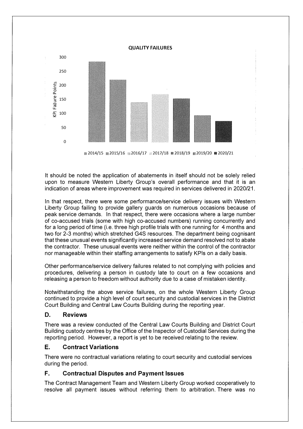

■ 2014/15 2015/16 2016/17 2017/18 2018/19 2019/20 2020/21

It should be noted the application of abatements in itself should not be solely relied upon to measure Western Liberty Group's overall performance and that it is an indication of areas where improvement was required in services delivered in 2020/21.

In that respect, there were some performance/service delivery issues with Western Liberty Group failing to provide gallery guards on numerous occasions because of peak service demands. In that respect, there were occasions where a large number of co-accused trials (some with high co-accused numbers) running concurrently and for a long period of time (i.e. three high profile trials with one running for 4 months and two for 2-3 months) which stretched G4S resources. The department being cognisant that these unusual events significantly increased service demand resolved not to abate the contractor. These unusual events were neither within the control of the contractor nor manageable within their staffing arrangements to satisfy KPls on a daily basis.

Other performance/service delivery failures related to not complying with policies and procedures, delivering a person in custody late to court on a few occasions and releasing a person to freedom without authority due to a case of mistaken identity.

Notwithstanding the above service failures, on the whole Western Liberty Group continued to provide a high level of court security and custodial services in the District Court Building and Central Law Courts Building during the reporting year.

#### **D. Reviews**

There was a review conducted of the Central Law Courts Building and District Court Building custody centres by the Office of the Inspector of Custodial Services during the reporting period. However, a report is yet to be received relating to the review.

#### **E. Contract Variations**

There were no contractual variations relating to court security and custodial services during the period.

#### **F. Contractual Disputes and Payment Issues**

The Contract Management Team and Western Liberty Group worked cooperatively to resolve all payment issues without referring them to arbitration. There was no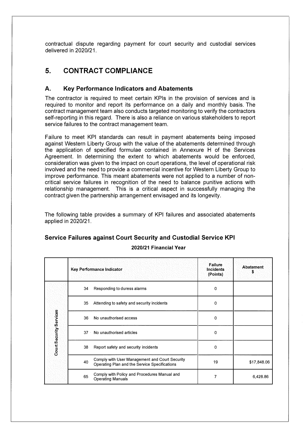contractual dispute regarding payment for court security and custodial services delivered in 2020/21.

### **5. CONTRACT COMPLIANCE**

#### **A. Key Performance Indicators and Abatements**

The contractor is required to meet certain KPls in the provision of services and is required to monitor and report its performance on a daily and monthly basis. The contract management team also conducts targeted monitoring to verify the contractors self-reporting in this regard. There is also a reliance on various stakeholders to report service failures to the contract management team.

Failure to meet KPI standards can result in payment abatements being imposed against Western Liberty Group with the value of the abatements determined through the application of specified formulae contained in Annexure H of the Services Agreement. In determining the extent to which abatements would be enforced, consideration was given to the impact on court operations, the level of operational risk involved and the need to provide a commercial incentive for Western Liberty Group to improve performance. This meant abatements were not applied to a number of noncritical service failures in recognition of the need to balance punitive actions with relationship management. This is a critical aspect in successfully managing the contract given the partnership arrangement envisaged and its longevity.

The following table provides a summary of KPI failures and associated abatements applied in 2020/21.

#### **Service Failures against Court Security and Custodial Service KPI**

|                         |    | Key Performance Indicator                                                                       | <b>Failure</b><br><b>Incidents</b><br>(Points) | Abatement<br>s |
|-------------------------|----|-------------------------------------------------------------------------------------------------|------------------------------------------------|----------------|
|                         | 34 | Responding to duress alarms                                                                     | 0                                              |                |
|                         | 35 | Attending to safety and security incidents                                                      | 0                                              |                |
| Court Security Services | 36 | No unauthorised access                                                                          | 0                                              |                |
|                         | 37 | No unauthorised articles                                                                        | 0                                              |                |
|                         | 38 | Report safety and security incidents                                                            | 0                                              |                |
|                         | 40 | Comply with User Management and Court Security<br>Operating Plan and the Service Specifications | 19                                             | \$17,848.06    |
|                         | 65 | Comply with Policy and Procedures Manual and<br><b>Operating Manuals</b>                        | 7                                              | 6,428.86       |

#### **2020/21 Financial Year**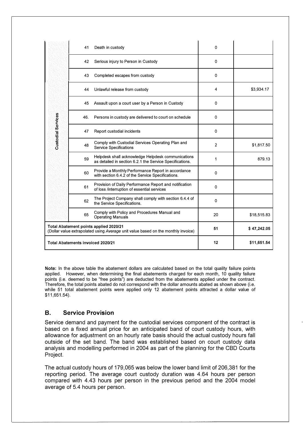|                                                                                                                             | 41  | Death in custody                                                                                               | 0              |             |
|-----------------------------------------------------------------------------------------------------------------------------|-----|----------------------------------------------------------------------------------------------------------------|----------------|-------------|
|                                                                                                                             | 42  | Serious injury to Person in Custody                                                                            | 0              |             |
|                                                                                                                             | 43  | Completed escapes from custody                                                                                 | 0              |             |
|                                                                                                                             | 44  | Unlawful release from custody                                                                                  | 4              | \$3,934.17  |
|                                                                                                                             | 45  | Assault upon a court user by a Person in Custody                                                               | 0              |             |
|                                                                                                                             | 46. | Persons in custody are delivered to court on schedule                                                          | 0              |             |
| <b>Custodial Services</b>                                                                                                   | 47  | Report custodial incidents                                                                                     | 0              |             |
|                                                                                                                             | 48  | Comply with Custodial Services Operating Plan and<br><b>Service Specifications</b>                             | $\overline{2}$ | \$1,817.50  |
|                                                                                                                             | 59  | Helpdesk shall acknowledge Helpdesk communications<br>as detailed in section 6.2.1 the Service Specifications. | 1              | 879.13      |
|                                                                                                                             | 60  | Provide a Monthly Performance Report in accordance<br>with section 6.4.2 of the Service Specifications.        | 0              |             |
|                                                                                                                             | 61  | Provision of Daily Performance Report and notification<br>of loss /interruption of essential services          | 0              |             |
|                                                                                                                             | 62  | The Project Company shall comply with section 6.4.4 of<br>the Service Specifications.                          | 0              |             |
|                                                                                                                             | 65  | Comply with Policy and Procedures Manual and<br><b>Operating Manuals</b>                                       | 20             | \$18,515.83 |
| Total Abatement points applied 2020/21<br>(Dollar value extrapolated using Average unit value based on the monthly invoice) |     | 51                                                                                                             | \$47,242.05    |             |
| <b>Total Abatements invoiced 2020/21</b>                                                                                    |     | 12                                                                                                             | \$11,651.54    |             |

**Note:** In the above table the abatement dollars are calculated based on the total quality failure points applied. However, when determining the final abatements charged for each month, 10 quality failure points (i.e. deemed to be "free points") are deducted from the abatements applied under the contract. Therefore, the total points abated do not correspond with the dollar amounts abated as shown above (i.e. while 51 total abatement points were applied only 12 abatement points attracted a dollar value of \$11,651.54).

#### **B. Service Provision**

Service demand and payment for the custodial services component of the contract is based on a fixed annual price for an anticipated band of court custody hours, with allowance for adjustment on an hourly rate basis should the actual custody hours fall outside of the set band. The band was established based on court custody data analysis and modelling performed in 2004 as part of the planning for the CBD Courts Project.

The actual custody hours of 179,065 was below the lower band limit of 206,381 for the reporting period. The average court custody duration was 4.64 hours per person compared with 4.43 hours per person in the previous period and the 2004 model average of 5.4 hours per person.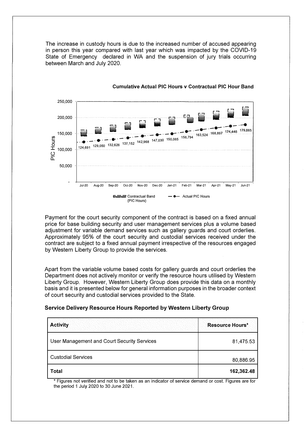The increase in custody hours is due to the increased number of accused appearing in person this year compared with last year which was impacted by the COVID-19 State of Emergency declared in WA and the suspension of jury trials occurring between March and July 2020.



#### **Cumulative Actual PIC Hours v Contractual PIC Hour Band**

Payment for the court security component of the contract is based on a fixed annual price for base building security and user management services plus a volume based adjustment for variable demand services such as gallery guards and court orderlies. Approximately 95% of the court security and custodial services received under the contract are subject to a fixed annual payment irrespective of the resources engaged by Western Liberty Group to provide the services.

Apart from the variable volume based costs for gallery guards and court orderlies the Department does not actively monitor or verify the resource hours utilised by Western Liberty Group. However, Western Liberty Group does provide this data on a monthly basis and it is presented below for general information purposes in the broader context of court security and custodial services provided to the State.

#### **Service Delivery Resource Hours Reported by Western Liberty Group**

| <b>Activity</b>                             | <b>Resource Hours*</b> |
|---------------------------------------------|------------------------|
| User Management and Court Security Services | 81,475.53              |
| <b>Custodial Services</b>                   | 80,886.95              |
| Total                                       | 162,362.48             |

Figures not verified and not to be taken as an indicator of service demand or cost. Figures are for the period 1 July 2020 to 30 June 2021.